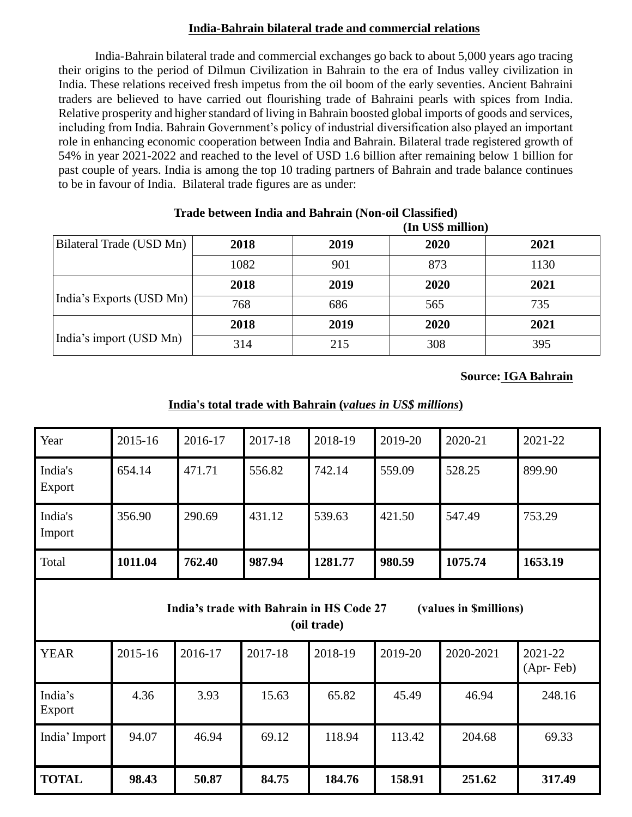## **India-Bahrain bilateral trade and commercial relations**

India-Bahrain bilateral trade and commercial exchanges go back to about 5,000 years ago tracing their origins to the period of Dilmun Civilization in Bahrain to the era of Indus valley civilization in India. These relations received fresh impetus from the oil boom of the early seventies. Ancient Bahraini traders are believed to have carried out flourishing trade of Bahraini pearls with spices from India. Relative prosperity and higher standard of living in Bahrain boosted global imports of goods and services, including from India. Bahrain Government's policy of industrial diversification also played an important role in enhancing economic cooperation between India and Bahrain. Bilateral trade registered growth of 54% in year 2021-2022 and reached to the level of USD 1.6 billion after remaining below 1 billion for past couple of years. India is among the top 10 trading partners of Bahrain and trade balance continues to be in favour of India. Bilateral trade figures are as under:

|                          |      |      | (In US\$ million) |      |
|--------------------------|------|------|-------------------|------|
| Bilateral Trade (USD Mn) | 2018 | 2019 | 2020              | 2021 |
|                          | 1082 | 901  | 873               | 1130 |
|                          | 2018 | 2019 | 2020              | 2021 |
| India's Exports (USD Mn) | 768  | 686  | 565               | 735  |
|                          | 2018 | 2019 | 2020              | 2021 |
| India's import (USD Mn)  | 314  | 215  | 308               | 395  |

# **Trade between India and Bahrain (Non-oil Classified)**

#### **Source: IGA Bahrain**

### **India's total trade with Bahrain (***values in US\$ millions***)**

| Year                                                                              | 2015-16 | 2016-17 | 2017-18 | 2018-19 | 2019-20 | 2020-21   | 2021-22              |  |
|-----------------------------------------------------------------------------------|---------|---------|---------|---------|---------|-----------|----------------------|--|
| India's<br>Export                                                                 | 654.14  | 471.71  | 556.82  | 742.14  | 559.09  | 528.25    | 899.90               |  |
| India's<br>Import                                                                 | 356.90  | 290.69  | 431.12  | 539.63  | 421.50  | 547.49    | 753.29               |  |
| Total                                                                             | 1011.04 | 762.40  | 987.94  | 1281.77 | 980.59  | 1075.74   | 1653.19              |  |
| (values in \$millions)<br>India's trade with Bahrain in HS Code 27<br>(oil trade) |         |         |         |         |         |           |                      |  |
| <b>YEAR</b>                                                                       | 2015-16 | 2016-17 | 2017-18 | 2018-19 | 2019-20 | 2020-2021 | 2021-22<br>(Apr-Feb) |  |
| India's<br>Export                                                                 | 4.36    | 3.93    | 15.63   | 65.82   | 45.49   | 46.94     | 248.16               |  |
| India' Import                                                                     | 94.07   | 46.94   | 69.12   | 118.94  | 113.42  | 204.68    | 69.33                |  |
| <b>TOTAL</b>                                                                      | 98.43   | 50.87   | 84.75   | 184.76  | 158.91  | 251.62    | 317.49               |  |